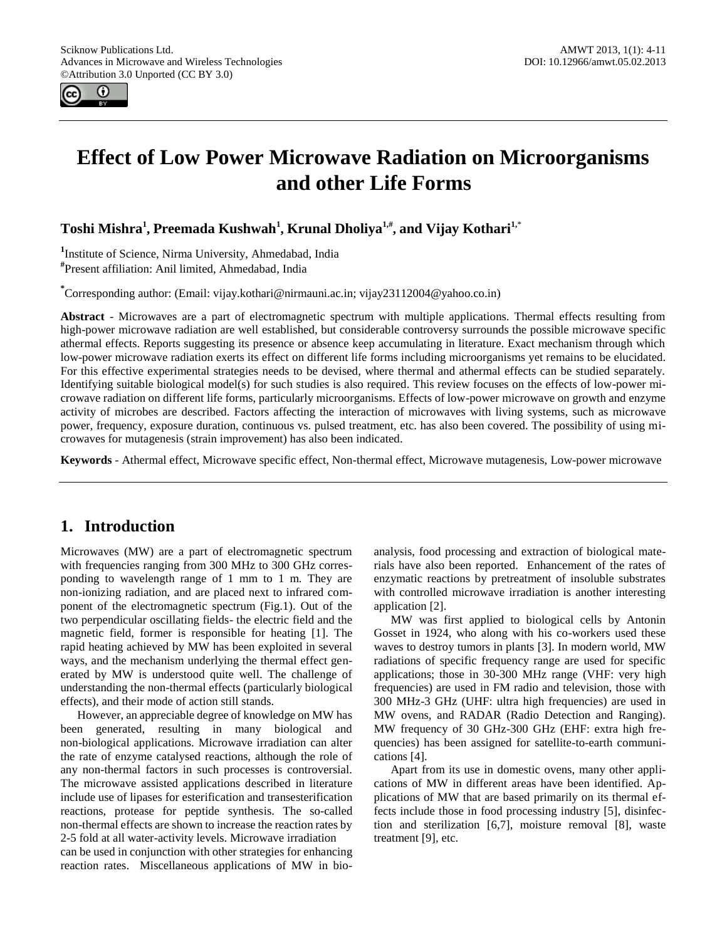

# **Effect of Low Power Microwave Radiation on Microorganisms and other Life Forms**

**Toshi Mishra<sup>1</sup> , Preemada Kushwah<sup>1</sup> , Krunal Dholiya1,# , and Vijay Kothari1,**\*

**1** Institute of Science, Nirma University, Ahmedabad, India **#** Present affiliation: Anil limited, Ahmedabad, India

**\*** Corresponding author: (Email: vijay.kothari@nirmauni.ac.in; vijay23112004@yahoo.co.in)

**Abstract** - Microwaves are a part of electromagnetic spectrum with multiple applications. Thermal effects resulting from high-power microwave radiation are well established, but considerable controversy surrounds the possible microwave specific athermal effects. Reports suggesting its presence or absence keep accumulating in literature. Exact mechanism through which low-power microwave radiation exerts its effect on different life forms including microorganisms yet remains to be elucidated. For this effective experimental strategies needs to be devised, where thermal and athermal effects can be studied separately. Identifying suitable biological model(s) for such studies is also required. This review focuses on the effects of low-power microwave radiation on different life forms, particularly microorganisms. Effects of low-power microwave on growth and enzyme activity of microbes are described. Factors affecting the interaction of microwaves with living systems, such as microwave power, frequency, exposure duration, continuous vs. pulsed treatment, etc. has also been covered. The possibility of using microwaves for mutagenesis (strain improvement) has also been indicated.

**Keywords** - Athermal effect, Microwave specific effect, Non-thermal effect, Microwave mutagenesis, Low-power microwave

# **1. Introduction**

Microwaves (MW) are a part of electromagnetic spectrum with frequencies ranging from 300 MHz to 300 GHz corresponding to wavelength range of 1 mm to 1 m. They are non-ionizing radiation, and are placed next to infrared component of the electromagnetic spectrum (Fig.1). Out of the two perpendicular oscillating fields- the electric field and the magnetic field, former is responsible for heating [1]. The rapid heating achieved by MW has been exploited in several ways, and the mechanism underlying the thermal effect generated by MW is understood quite well. The challenge of understanding the non-thermal effects (particularly biological effects), and their mode of action still stands.

However, an appreciable degree of knowledge on MW has been generated, resulting in many biological and non-biological applications. Microwave irradiation can alter the rate of enzyme catalysed reactions, although the role of any non-thermal factors in such processes is controversial. The microwave assisted applications described in literature include use of lipases for esterification and transesterification reactions, protease for peptide synthesis. The so-called non-thermal effects are shown to increase the reaction rates by 2-5 fold at all water-activity levels. Microwave irradiation can be used in conjunction with other strategies for enhancing

reaction rates. Miscellaneous applications of MW in bio-

analysis, food processing and extraction of biological materials have also been reported. Enhancement of the rates of enzymatic reactions by pretreatment of insoluble substrates with controlled microwave irradiation is another interesting application [2].

MW was first applied to biological cells by Antonin Gosset in 1924, who along with his co-workers used these waves to destroy tumors in plants [3]. In modern world, MW radiations of specific frequency range are used for specific applications; those in 30-300 MHz range (VHF: very high frequencies) are used in FM radio and television, those with 300 MHz-3 GHz (UHF: ultra high frequencies) are used in MW ovens, and RADAR (Radio Detection and Ranging). MW frequency of 30 GHz-300 GHz (EHF: extra high frequencies) has been assigned for satellite-to-earth communications [4].

Apart from its use in domestic ovens, many other applications of MW in different areas have been identified. Applications of MW that are based primarily on its thermal effects include those in food processing industry [5], disinfection and sterilization [6,7], moisture removal [8], waste treatment [9], etc.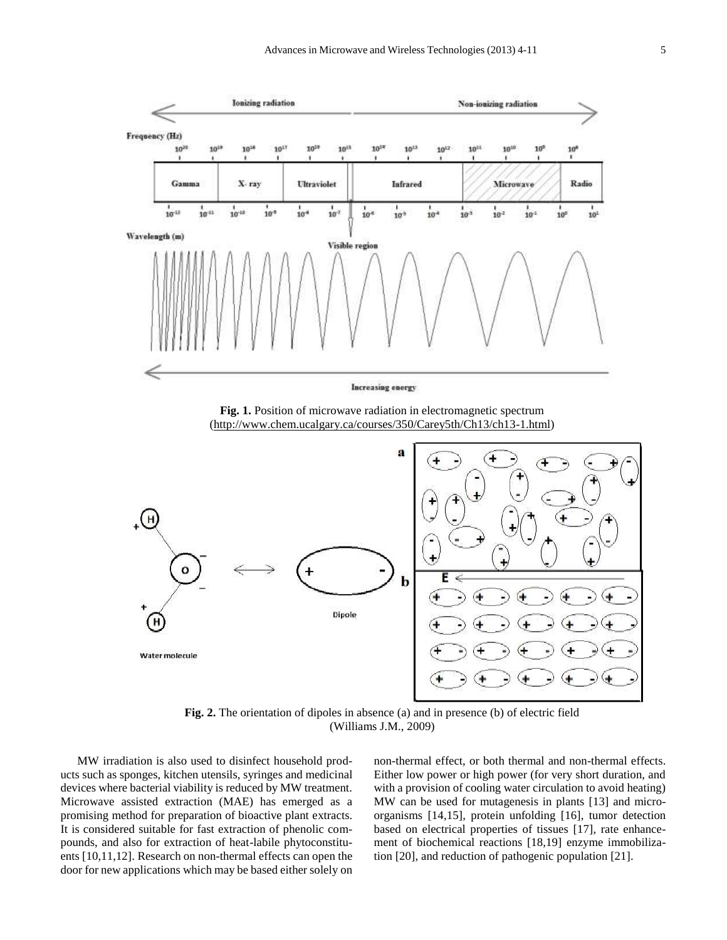

**Fig. 2.** The orientation of dipoles in absence (a) and in presence (b) of electric field (Williams J.M., 2009)

MW irradiation is also used to disinfect household products such as sponges, kitchen utensils, syringes and medicinal devices where bacterial viability is reduced by MW treatment. Microwave assisted extraction (MAE) has emerged as a promising method for preparation of bioactive plant extracts. It is considered suitable for fast extraction of phenolic compounds, and also for extraction of heat-labile phytoconstituents [10,11,12]. Research on non-thermal effects can open the door for new applications which may be based either solely on non-thermal effect, or both thermal and non-thermal effects. Either low power or high power (for very short duration, and with a provision of cooling water circulation to avoid heating) MW can be used for mutagenesis in plants [13] and microorganisms [14,15], protein unfolding [16], tumor detection based on electrical properties of tissues [17], rate enhancement of biochemical reactions [18,19] enzyme immobilization [20], and reduction of pathogenic population [21].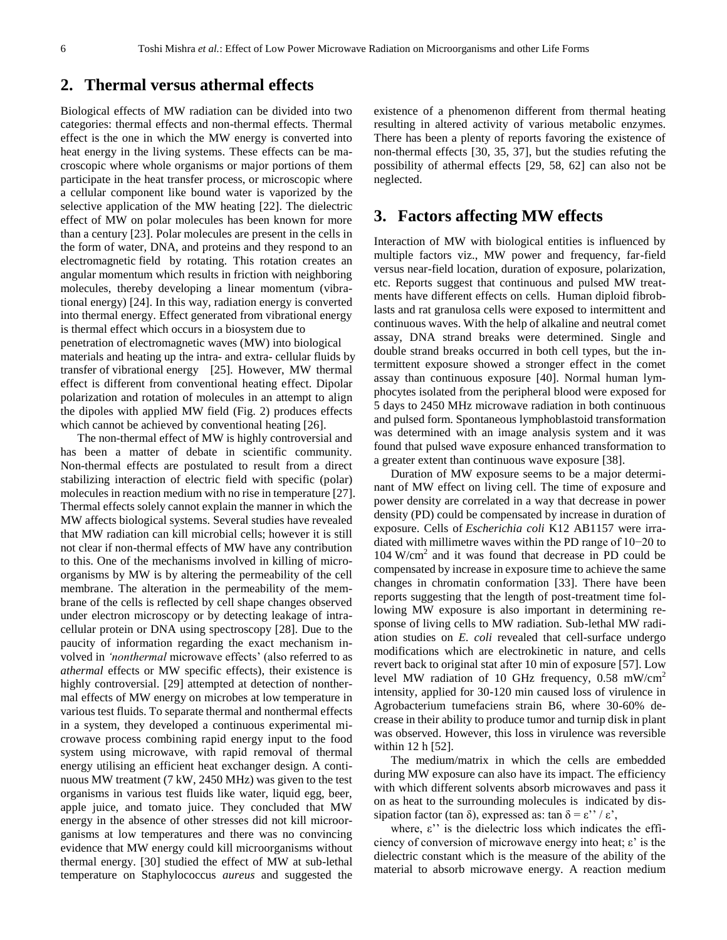### **2. Thermal versus athermal effects**

Biological effects of MW radiation can be divided into two categories: thermal effects and non-thermal effects. Thermal effect is the one in which the MW energy is converted into heat energy in the living systems. These effects can be macroscopic where whole organisms or major portions of them participate in the heat transfer process, or microscopic where a cellular component like bound water is vaporized by the selective application of the MW heating [22]. The dielectric effect of MW on polar molecules has been known for more than a century [23]. Polar molecules are present in the cells in the form of water, DNA, and proteins and they respond to an electromagnetic field by rotating. This rotation creates an angular momentum which results in friction with neighboring molecules, thereby developing a linear momentum (vibrational energy) [24]. In this way, radiation energy is converted into thermal energy. Effect generated from vibrational energy is thermal effect which occurs in a biosystem due to penetration of electromagnetic waves (MW) into biological materials and heating up the intra- and extra- cellular fluids by transfer of vibrational energy [25]. However, MW thermal effect is different from conventional heating effect. Dipolar polarization and rotation of molecules in an attempt to align the dipoles with applied MW field (Fig. 2) produces effects which cannot be achieved by conventional heating [26].

The non-thermal effect of MW is highly controversial and has been a matter of debate in scientific community. Non-thermal effects are postulated to result from a direct stabilizing interaction of electric field with specific (polar) molecules in reaction medium with no rise in temperature [27]. Thermal effects solely cannot explain the manner in which the MW affects biological systems. Several studies have revealed that MW radiation can kill microbial cells; however it is still not clear if non-thermal effects of MW have any contribution to this. One of the mechanisms involved in killing of microorganisms by MW is by altering the permeability of the cell membrane. The alteration in the permeability of the membrane of the cells is reflected by cell shape changes observed under electron microscopy or by detecting leakage of intracellular protein or DNA using spectroscopy [28]. Due to the paucity of information regarding the exact mechanism involved in *'nonthermal* microwave effects' (also referred to as *athermal* effects or MW specific effects), their existence is highly controversial. [29] attempted at detection of nonthermal effects of MW energy on microbes at low temperature in various test fluids. To separate thermal and nonthermal effects in a system, they developed a continuous experimental microwave process combining rapid energy input to the food system using microwave, with rapid removal of thermal energy utilising an efficient heat exchanger design. A continuous MW treatment (7 kW, 2450 MHz) was given to the test organisms in various test fluids like water, liquid egg, beer, apple juice, and tomato juice. They concluded that MW energy in the absence of other stresses did not kill microorganisms at low temperatures and there was no convincing evidence that MW energy could kill microorganisms without thermal energy. [30] studied the effect of MW at sub-lethal temperature on Staphylococcus *aureus* and suggested the

existence of a phenomenon different from thermal heating resulting in altered activity of various metabolic enzymes. There has been a plenty of reports favoring the existence of non-thermal effects [30, 35, 37], but the studies refuting the possibility of athermal effects [29, 58, 62] can also not be neglected.

### **3. Factors affecting MW effects**

Interaction of MW with biological entities is influenced by multiple factors viz., MW power and frequency, far-field versus near-field location, duration of exposure, polarization, etc. Reports suggest that continuous and pulsed MW treatments have different effects on cells. Human diploid fibroblasts and rat granulosa cells were exposed to intermittent and continuous waves. With the help of alkaline and neutral comet assay, DNA strand breaks were determined. Single and double strand breaks occurred in both cell types, but the intermittent exposure showed a stronger effect in the comet assay than continuous exposure [40]. Normal human lymphocytes isolated from the peripheral blood were exposed for 5 days to 2450 MHz microwave radiation in both continuous and pulsed form. Spontaneous lymphoblastoid transformation was determined with an image analysis system and it was found that pulsed wave exposure enhanced transformation to a greater extent than continuous wave exposure [38].

Duration of MW exposure seems to be a major determinant of MW effect on living cell. The time of exposure and power density are correlated in a way that decrease in power density (PD) could be compensated by increase in duration of exposure. Cells of *Escherichia coli* K12 AB1157 were irradiated with millimetre waves within the PD range of 10−20 to 104 W/cm<sup>2</sup> and it was found that decrease in PD could be compensated by increase in exposure time to achieve the same changes in chromatin conformation [33]. There have been reports suggesting that the length of post-treatment time following MW exposure is also important in determining response of living cells to MW radiation. Sub-lethal MW radiation studies on *E. coli* revealed that cell-surface undergo modifications which are electrokinetic in nature, and cells revert back to original stat after 10 min of exposure [57]. Low level MW radiation of 10 GHz frequency, 0.58 mW/cm<sup>2</sup> intensity, applied for 30-120 min caused loss of virulence in Agrobacterium tumefaciens strain B6, where 30-60% decrease in their ability to produce tumor and turnip disk in plant was observed. However, this loss in virulence was reversible within 12 h [52].

The medium/matrix in which the cells are embedded during MW exposure can also have its impact. The efficiency with which different solvents absorb microwaves and pass it on as heat to the surrounding molecules is indicated by dissipation factor (tan  $\delta$ ), expressed as: tan  $\delta = \varepsilon$ " /  $\varepsilon$ ',

where, ε'' is the dielectric loss which indicates the efficiency of conversion of microwave energy into heat; ε' is the dielectric constant which is the measure of the ability of the material to absorb microwave energy. A reaction medium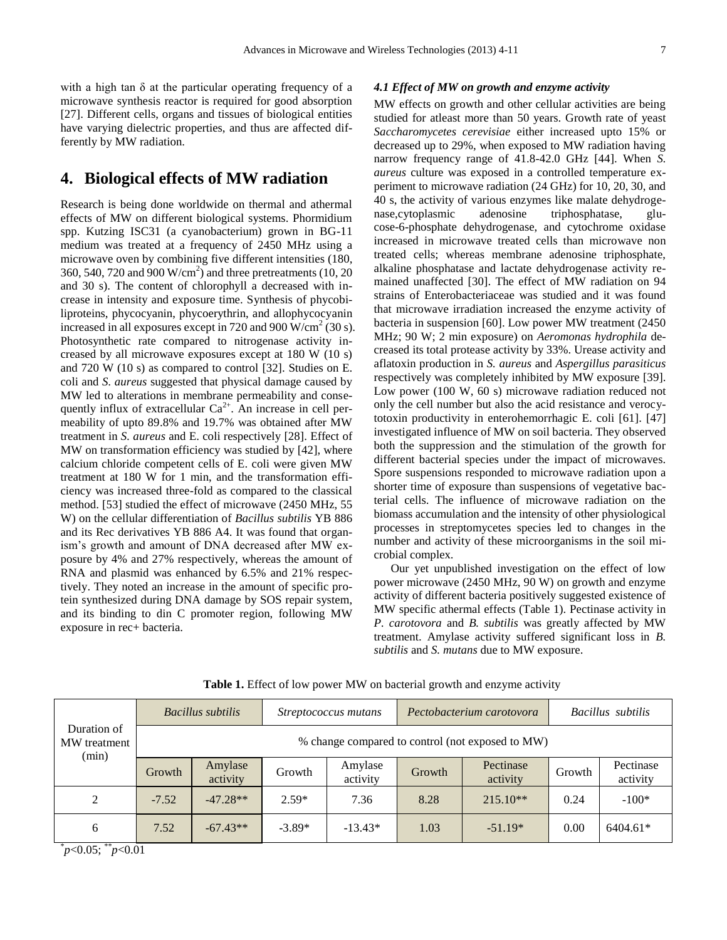with a high tan  $\delta$  at the particular operating frequency of a microwave synthesis reactor is required for good absorption [27]. Different cells, organs and tissues of biological entities have varying dielectric properties, and thus are affected differently by MW radiation.

# **4. Biological effects of MW radiation**

Research is being done worldwide on thermal and athermal effects of MW on different biological systems. Phormidium spp. Kutzing ISC31 (a cyanobacterium) grown in BG-11 medium was treated at a frequency of 2450 MHz using a microwave oven by combining five different intensities (180, 360, 540, 720 and 900  $W/cm<sup>2</sup>$ ) and three pretreatments (10, 20 and 30 s). The content of chlorophyll a decreased with increase in intensity and exposure time. Synthesis of phycobiliproteins, phycocyanin, phycoerythrin, and allophycocyanin increased in all exposures except in 720 and 900  $\text{W/cm}^2$  (30 s). Photosynthetic rate compared to nitrogenase activity increased by all microwave exposures except at 180 W (10 s) and 720 W (10 s) as compared to control [32]. Studies on E. coli and *S. aureus* suggested that physical damage caused by MW led to alterations in membrane permeability and consequently influx of extracellular  $Ca^{2+}$ . An increase in cell permeability of upto 89.8% and 19.7% was obtained after MW treatment in *S. aureus* and E. coli respectively [28]. Effect of MW on transformation efficiency was studied by [42], where calcium chloride competent cells of E. coli were given MW treatment at 180 W for 1 min, and the transformation efficiency was increased three-fold as compared to the classical method. [53] studied the effect of microwave (2450 MHz, 55 W) on the cellular differentiation of *Bacillus subtilis* YB 886 and its Rec derivatives YB 886 A4. It was found that organism's growth and amount of DNA decreased after MW exposure by 4% and 27% respectively, whereas the amount of RNA and plasmid was enhanced by 6.5% and 21% respectively. They noted an increase in the amount of specific protein synthesized during DNA damage by SOS repair system, and its binding to din C promoter region, following MW exposure in rec+ bacteria.

#### *4.1 Effect of MW on growth and enzyme activity*

MW effects on growth and other cellular activities are being studied for atleast more than 50 years. Growth rate of yeast *Saccharomycetes cerevisiae* either increased upto 15% or decreased up to 29%, when exposed to MW radiation having narrow frequency range of 41.8-42.0 GHz [44]. When *S. aureus* culture was exposed in a controlled temperature experiment to microwave radiation (24 GHz) for 10, 20, 30, and 40 s, the activity of various enzymes like malate dehydrogenase,cytoplasmic adenosine triphosphatase, glucose-6-phosphate dehydrogenase, and cytochrome oxidase increased in microwave treated cells than microwave non treated cells; whereas membrane adenosine triphosphate, alkaline phosphatase and lactate dehydrogenase activity remained unaffected [30]. The effect of MW radiation on 94 strains of Enterobacteriaceae was studied and it was found that microwave irradiation increased the enzyme activity of bacteria in suspension [60]. Low power MW treatment (2450 MHz; 90 W; 2 min exposure) on *Aeromonas hydrophila* decreased its total protease activity by 33%. Urease activity and aflatoxin production in *S. aureus* and *Aspergillus parasiticus*  respectively was completely inhibited by MW exposure [39]. Low power (100 W, 60 s) microwave radiation reduced not only the cell number but also the acid resistance and verocytotoxin productivity in enterohemorrhagic E. coli [61]. [47] investigated influence of MW on soil bacteria. They observed both the suppression and the stimulation of the growth for different bacterial species under the impact of microwaves. Spore suspensions responded to microwave radiation upon a shorter time of exposure than suspensions of vegetative bacterial cells. The influence of microwave radiation on the biomass accumulation and the intensity of other physiological processes in streptomycetes species led to changes in the number and activity of these microorganisms in the soil microbial complex.

Our yet unpublished investigation on the effect of low power microwave (2450 MHz, 90 W) on growth and enzyme activity of different bacteria positively suggested existence of MW specific athermal effects (Table 1). Pectinase activity in *P. carotovora* and *B. subtilis* was greatly affected by MW treatment. Amylase activity suffered significant loss in *B. subtilis* and *S. mutans* due to MW exposure.

| Duration of<br>MW treatment<br>(min) | Bacillus subtilis                                |                     | Streptococcus mutans |                     | Pectobacterium carotovora |                       | Bacillus subtilis |                       |
|--------------------------------------|--------------------------------------------------|---------------------|----------------------|---------------------|---------------------------|-----------------------|-------------------|-----------------------|
|                                      | % change compared to control (not exposed to MW) |                     |                      |                     |                           |                       |                   |                       |
|                                      | Growth                                           | Amylase<br>activity | Growth               | Amylase<br>activity | Growth                    | Pectinase<br>activity | Growth            | Pectinase<br>activity |
| 2                                    | $-7.52$                                          | $-47.28**$          | $2.59*$              | 7.36                | 8.28                      | $215.10**$            | 0.24              | $-100*$               |
| 6                                    | 7.52                                             | $-67.43**$          | $-3.89*$             | $-13.43*$           | 1.03                      | $-51.19*$             | 0.00              | 6404.61*              |

**Table 1.** Effect of low power MW on bacterial growth and enzyme activity

 $\frac{p}{0.05}$ ;  $\frac{p}{0.01}$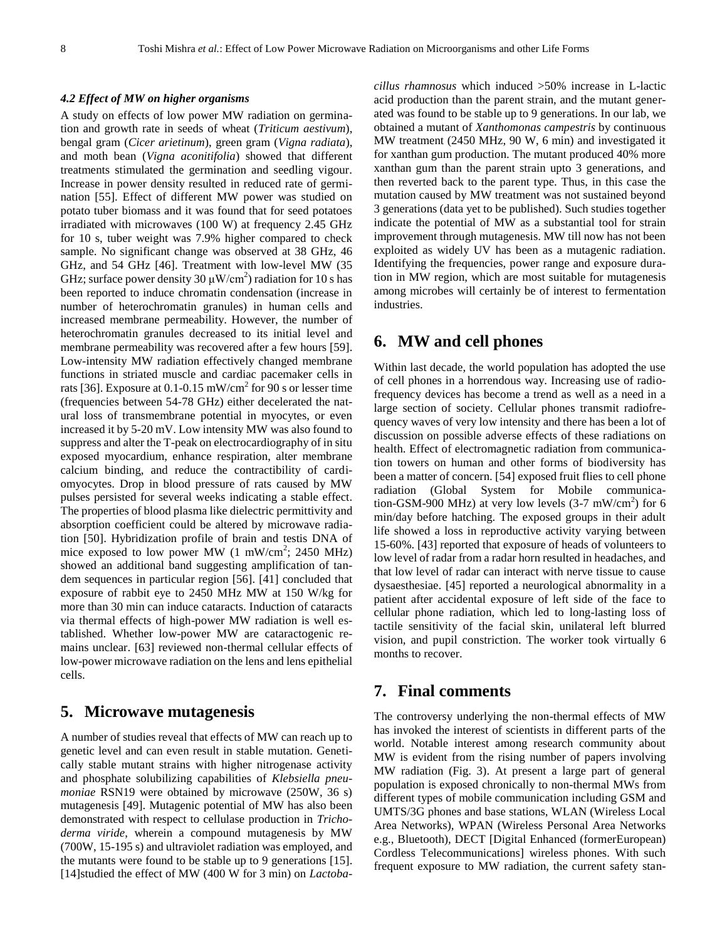#### *4.2 Effect of MW on higher organisms*

A study on effects of low power MW radiation on germination and growth rate in seeds of wheat (*Triticum aestivum*), bengal gram (*Cicer arietinum*), green gram (*Vigna radiata*), and moth bean (*Vigna aconitifolia*) showed that different treatments stimulated the germination and seedling vigour. Increase in power density resulted in reduced rate of germination [55]. Effect of different MW power was studied on potato tuber biomass and it was found that for seed potatoes irradiated with microwaves (100 W) at frequency 2.45 GHz for 10 s, tuber weight was 7.9% higher compared to check sample. No significant change was observed at 38 GHz, 46 GHz, and 54 GHz [46]. Treatment with low-level MW (35 GHz; surface power density 30  $\mu$ W/cm<sup>2</sup>) radiation for 10 s has been reported to induce chromatin condensation (increase in number of heterochromatin granules) in human cells and increased membrane permeability. However, the number of heterochromatin granules decreased to its initial level and membrane permeability was recovered after a few hours [59]. Low-intensity MW radiation effectively changed membrane functions in striated muscle and cardiac pacemaker cells in rats [36]. Exposure at 0.1-0.15 mW/cm<sup>2</sup> for 90 s or lesser time (frequencies between 54-78 GHz) either decelerated the natural loss of transmembrane potential in myocytes, or even increased it by 5-20 mV. Low intensity MW was also found to suppress and alter the T-peak on electrocardiography of in situ exposed myocardium, enhance respiration, alter membrane calcium binding, and reduce the contractibility of cardiomyocytes. Drop in blood pressure of rats caused by MW pulses persisted for several weeks indicating a stable effect. The properties of blood plasma like dielectric permittivity and absorption coefficient could be altered by microwave radiation [50]. Hybridization profile of brain and testis DNA of mice exposed to low power MW  $(1 \text{ mW/cm}^2; 2450 \text{ MHz})$ showed an additional band suggesting amplification of tandem sequences in particular region [56]. [41] concluded that exposure of rabbit eye to 2450 MHz MW at 150 W/kg for more than 30 min can induce cataracts. Induction of cataracts via thermal effects of high-power MW radiation is well established. Whether low-power MW are cataractogenic remains unclear. [63] reviewed non-thermal cellular effects of low-power microwave radiation on the lens and lens epithelial cells.

### **5. Microwave mutagenesis**

A number of studies reveal that effects of MW can reach up to genetic level and can even result in stable mutation. Genetically stable mutant strains with higher nitrogenase activity and phosphate solubilizing capabilities of *Klebsiella pneumoniae* RSN19 were obtained by microwave (250W, 36 s) mutagenesis [49]. Mutagenic potential of MW has also been demonstrated with respect to cellulase production in *Trichoderma viride*, wherein a compound mutagenesis by MW (700W, 15-195 s) and ultraviolet radiation was employed, and the mutants were found to be stable up to 9 generations [15]. [14]studied the effect of MW (400 W for 3 min) on *Lactoba-* *cillus rhamnosus* which induced >50% increase in L-lactic acid production than the parent strain, and the mutant generated was found to be stable up to 9 generations. In our lab, we obtained a mutant of *Xanthomonas campestris* by continuous MW treatment (2450 MHz, 90 W, 6 min) and investigated it for xanthan gum production. The mutant produced 40% more xanthan gum than the parent strain upto 3 generations, and then reverted back to the parent type. Thus, in this case the mutation caused by MW treatment was not sustained beyond 3 generations (data yet to be published). Such studies together indicate the potential of MW as a substantial tool for strain improvement through mutagenesis. MW till now has not been exploited as widely UV has been as a mutagenic radiation. Identifying the frequencies, power range and exposure duration in MW region, which are most suitable for mutagenesis among microbes will certainly be of interest to fermentation industries.

## **6. MW and cell phones**

Within last decade, the world population has adopted the use of cell phones in a horrendous way. Increasing use of radiofrequency devices has become a trend as well as a need in a large section of society. Cellular phones transmit radiofrequency waves of very low intensity and there has been a lot of discussion on possible adverse effects of these radiations on health. Effect of electromagnetic radiation from communication towers on human and other forms of biodiversity has been a matter of concern. [54] exposed fruit flies to cell phone radiation (Global System for Mobile communication-GSM-900 MHz) at very low levels  $(3\n-7 \text{ mW/cm}^2)$  for 6 min/day before hatching. The exposed groups in their adult life showed a loss in reproductive activity varying between 15-60%. [43] reported that exposure of heads of volunteers to low level of radar from a radar horn resulted in headaches, and that low level of radar can interact with nerve tissue to cause dysaesthesiae. [45] reported a neurological abnormality in a patient after accidental exposure of left side of the face to cellular phone radiation, which led to long-lasting loss of tactile sensitivity of the facial skin, unilateral left blurred vision, and pupil constriction. The worker took virtually 6 months to recover.

### **7. Final comments**

The controversy underlying the non-thermal effects of MW has invoked the interest of scientists in different parts of the world. Notable interest among research community about MW is evident from the rising number of papers involving MW radiation (Fig. 3). At present a large part of general population is exposed chronically to non-thermal MWs from different types of mobile communication including GSM and UMTS/3G phones and base stations, WLAN (Wireless Local Area Networks), WPAN (Wireless Personal Area Networks e.g., Bluetooth), DECT [Digital Enhanced (formerEuropean) Cordless Telecommunications] wireless phones. With such frequent exposure to MW radiation, the current safety stan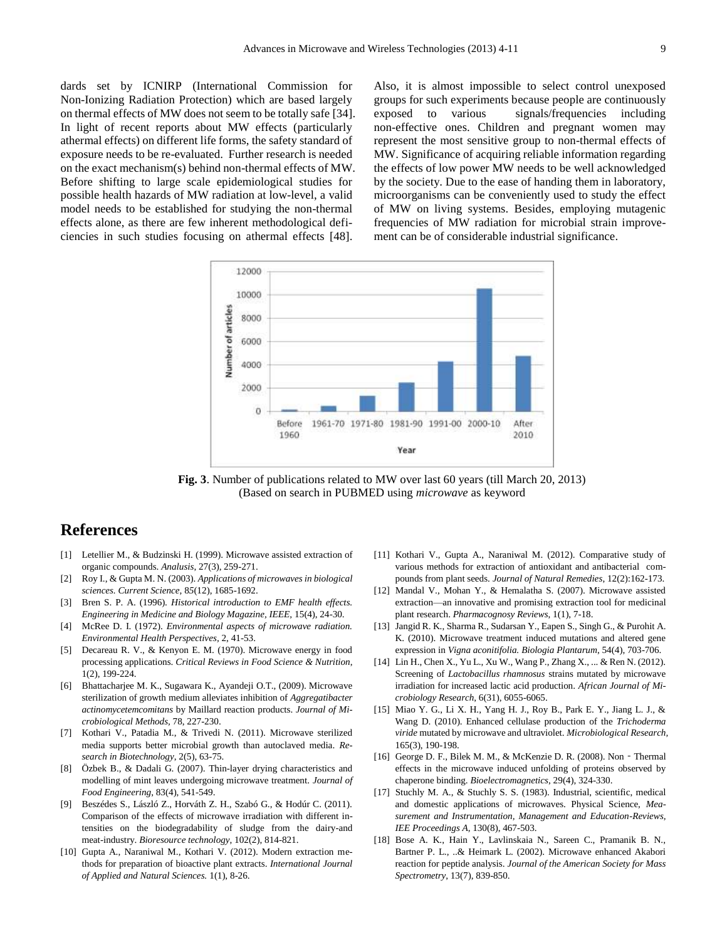dards set by ICNIRP (International Commission for Non-Ionizing Radiation Protection) which are based largely on thermal effects of MW does not seem to be totally safe [34]. In light of recent reports about MW effects (particularly athermal effects) on different life forms, the safety standard of exposure needs to be re-evaluated. Further research is needed on the exact mechanism(s) behind non-thermal effects of MW. Before shifting to large scale epidemiological studies for possible health hazards of MW radiation at low-level, a valid model needs to be established for studying the non-thermal effects alone, as there are few inherent methodological deficiencies in such studies focusing on athermal effects [48].

Also, it is almost impossible to select control unexposed groups for such experiments because people are continuously exposed to various signals/frequencies including non-effective ones. Children and pregnant women may represent the most sensitive group to non-thermal effects of MW. Significance of acquiring reliable information regarding the effects of low power MW needs to be well acknowledged by the society. Due to the ease of handing them in laboratory, microorganisms can be conveniently used to study the effect of MW on living systems. Besides, employing mutagenic frequencies of MW radiation for microbial strain improvement can be of considerable industrial significance.



**Fig. 3**. Number of publications related to MW over last 60 years (till March 20, 2013) (Based on search in PUBMED using *microwave* as keyword

# **References**

- [1] Letellier M., & Budzinski H. (1999). Microwave assisted extraction of organic compounds. *Analusis*, 27(3), 259-271.
- [2] Roy I., & Gupta M. N. (2003). *Applications of microwaves in biological sciences. Current Science,* 8*5*(12), 1685-1692.
- [3] Bren S. P. A. (1996). *Historical introduction to EMF health effects. Engineering in Medicine and Biology Magazine, IEEE,* 15(4), 24-30.
- [4] McRee D. I. (1972). *Environmental aspects of microwave radiation. Environmental Health Perspectives,* 2, 41-53.
- [5] Decareau R. V., & Kenyon E. M. (1970). Microwave energy in food processing applications. *Critical Reviews in Food Science & Nutrition*, 1(2), 199-224.
- [6] Bhattacharjee M. K., Sugawara K., Ayandeji O.T., (2009). Microwave sterilization of growth medium alleviates inhibition of *Aggregatibacter actinomycetemcomitans* by Maillard reaction products. *Journal of Microbiological Methods,* 78, 227-230.
- [7] Kothari V., Patadia M., & Trivedi N. (2011). Microwave sterilized media supports better microbial growth than autoclaved media. *Research in Biotechnology*, 2(5), 63-75.
- [8] Özbek B., & Dadali G. (2007). Thin-layer drying characteristics and modelling of mint leaves undergoing microwave treatment. *Journal of Food Engineering*, 83(4), 541-549.
- [9] Beszédes S., László Z., Horváth Z. H., Szabó G., & Hodúr C. (2011). Comparison of the effects of microwave irradiation with different intensities on the biodegradability of sludge from the dairy-and meat-industry. *Bioresource technology*, 102(2), 814-821.
- [10] Gupta A., Naraniwal M., Kothari V. (2012). Modern extraction methods for preparation of bioactive plant extracts. *International Journal of Applied and Natural Sciences.* 1(1), 8-26.
- [11] Kothari V., Gupta A., Naraniwal M. (2012). Comparative study of various methods for extraction of antioxidant and antibacterial compounds from plant seeds. *Journal of Natural Remedies*, 12(2):162-173.
- [12] Mandal V., Mohan Y., & Hemalatha S. (2007). Microwave assisted extraction—an innovative and promising extraction tool for medicinal plant research. *Pharmacognosy Reviews*, 1(1), 7-18.
- [13] Jangid R. K., Sharma R., Sudarsan Y., Eapen S., Singh G., & Purohit A. K. (2010). Microwave treatment induced mutations and altered gene expression in *Vigna aconitifolia. Biologia Plantarum*, 54(4), 703-706.
- [14] Lin H., Chen X., Yu L., Xu W., Wang P., Zhang X., ... & Ren N. (2012). Screening of *Lactobacillus rhamnosus* strains mutated by microwave irradiation for increased lactic acid production. *African Journal of Microbiology Research*, 6(31), 6055-6065.
- [15] Miao Y. G., Li X. H., Yang H. J., Roy B., Park E. Y., Jiang L. J., & Wang D. (2010). Enhanced cellulase production of the *Trichoderma viride* mutated by microwave and ultraviolet. *Microbiological Research,* 165(3), 190-198.
- [16] George D. F., Bilek M. M., & McKenzie D. R. (2008). Non‐Thermal effects in the microwave induced unfolding of proteins observed by chaperone binding. *Bioelectromagnetics*, 29(4), 324-330.
- [17] Stuchly M. A., & Stuchly S. S. (1983). Industrial, scientific, medical and domestic applications of microwaves. Physical Science, *Measurement and Instrumentation, Management and Education-Reviews, IEE Proceedings A,* 130(8), 467-503.
- [18] Bose A. K., Hain Y., Lavlinskaia N., Sareen C., Pramanik B. N., Bartner P. L., ..& Heimark L. (2002). Microwave enhanced Akabori reaction for peptide analysis. *Journal of the American Society for Mass Spectrometry*, 13(7), 839-850.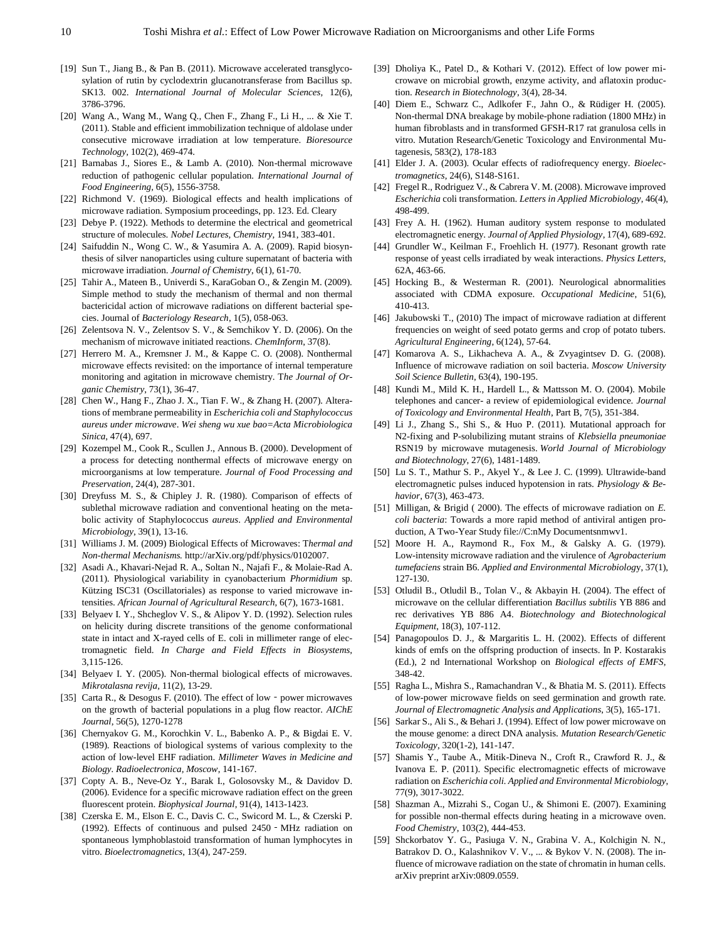- [19] Sun T., Jiang B., & Pan B. (2011). Microwave accelerated transglycosylation of rutin by cyclodextrin glucanotransferase from Bacillus sp. SK13. 002. *International Journal of Molecular Sciences,* 12(6), 3786-3796.
- [20] Wang A., Wang M., Wang Q., Chen F., Zhang F., Li H., ... & Xie T. (2011). Stable and efficient immobilization technique of aldolase under consecutive microwave irradiation at low temperature. *Bioresource Technology,* 102(2), 469-474.
- [21] Barnabas J., Siores E., & Lamb A. (2010). Non-thermal microwave reduction of pathogenic cellular population. *International Journal of Food Engineering,* 6(5), 1556-3758.
- [22] Richmond V. (1969). Biological effects and health implications of microwave radiation. Symposium proceedings, pp. 123. Ed. Cleary
- [23] Debye P. (1922). Methods to determine the electrical and geometrical structure of molecules. *Nobel Lectures, Chemistry,* 1941, 383-401.
- [24] Saifuddin N., Wong C. W., & Yasumira A. A. (2009). Rapid biosynthesis of silver nanoparticles using culture supernatant of bacteria with microwave irradiation. *Journal of Chemistry*, 6(1), 61-70.
- [25] Tahir A., Mateen B., Univerdi S., KaraGoban O., & Zengin M. (2009). Simple method to study the mechanism of thermal and non thermal bactericidal action of microwave radiations on different bacterial species. Journal of *Bacteriology Research*, 1(5), 058-063.
- [26] Zelentsova N. V., Zelentsov S. V., & Semchikov Y. D. (2006). On the mechanism of microwave initiated reactions. *ChemInform*, 37(8).
- [27] Herrero M. A., Kremsner J. M., & Kappe C. O. (2008). Nonthermal microwave effects revisited: on the importance of internal temperature monitoring and agitation in microwave chemistry. T*he Journal of Organic Chemistry*, 73(1), 36-47.
- [28] Chen W., Hang F., Zhao J. X., Tian F. W., & Zhang H. (2007). Alterations of membrane permeability in *Escherichia coli and Staphylococcus aureus under microwave*. *Wei sheng wu xue bao=Acta Microbiologica Sinica*, 47(4), 697.
- [29] Kozempel M., Cook R., Scullen J., Annous B. (2000). Development of a process for detecting nonthermal effects of microwave energy on microorganisms at low temperature. *Journal of Food Processing and Preservation*, 24(4), 287-301.
- [30] Dreyfuss M. S., & Chipley J. R. (1980). Comparison of effects of sublethal microwave radiation and conventional heating on the metabolic activity of Staphylococcus *aureus*. *Applied and Environmental Microbiology*, 39(1), 13-16.
- [31] Williams J. M. (2009) Biological Effects of Microwaves: T*hermal and Non-thermal Mechanisms.* http://arXiv.org/pdf/physics/0102007.
- [32] Asadi A., Khavari-Nejad R. A., Soltan N., Najafi F., & Molaie-Rad A. (2011). Physiological variability in cyanobacterium *Phormidium* sp. Kützing ISC31 (Oscillatoriales) as response to varied microwave intensities. *African Journal of Agricultural Research*, 6(7), 1673-1681.
- [33] Belyaev I. Y., Shcheglov V. S., & Alipov Y. D. (1992). Selection rules on helicity during discrete transitions of the genome conformational state in intact and X-rayed cells of E. coli in millimeter range of electromagnetic field. *In Charge and Field Effects in Biosystems,*  3,115-126.
- [34] Belyaev I. Y. (2005). Non-thermal biological effects of microwaves. *Mikrotalasna revija,* 11(2), 13-29.
- [35] Carta R., & Desogus F. (2010). The effect of low power microwaves on the growth of bacterial populations in a plug flow reactor. *AIChE Journal*, 56(5), 1270-1278
- [36] Chernyakov G. M., Korochkin V. L., Babenko A. P., & Bigdai E. V. (1989). Reactions of biological systems of various complexity to the action of low-level EHF radiation. *Millimeter Waves in Medicine and Biology. Radioelectronica, Moscow*, 141-167.
- [37] Copty A. B., Neve-Oz Y., Barak I., Golosovsky M., & Davidov D. (2006). Evidence for a specific microwave radiation effect on the green fluorescent protein. *Biophysical Journal*, 91(4), 1413-1423.
- [38] Czerska E. M., Elson E. C., Davis C. C., Swicord M. L., & Czerski P. (1992). Effects of continuous and pulsed 2450‐MHz radiation on spontaneous lymphoblastoid transformation of human lymphocytes in vitro. *Bioelectromagnetics*, 13(4), 247-259.
- [39] Dholiya K., Patel D., & Kothari V. (2012). Effect of low power microwave on microbial growth, enzyme activity, and aflatoxin production. *Research in Biotechnology*, 3(4), 28-34.
- [40] Diem E., Schwarz C., Adlkofer F., Jahn O., & Rüdiger H. (2005). Non-thermal DNA breakage by mobile-phone radiation (1800 MHz) in human fibroblasts and in transformed GFSH-R17 rat granulosa cells in vitro. Mutation Research/Genetic Toxicology and Environmental Mutagenesis, 583(2), 178-183
- [41] Elder J. A. (2003). Ocular effects of radiofrequency energy. *Bioelectromagnetics*, 24(6), S148-S161.
- [42] Fregel R., Rodriguez V., & Cabrera V. M. (2008). Microwave improved *Escherichia* coli transformation. *Letters in Applied Microbiology*, 46(4), 498-499.
- [43] Frey A. H. (1962). Human auditory system response to modulated electromagnetic energy. *Journal of Applied Physiology*, 17(4), 689-692.
- [44] Grundler W., Keilman F., Froehlich H. (1977). Resonant growth rate response of yeast cells irradiated by weak interactions. *Physics Letters*, 62A, 463-66.
- [45] Hocking B., & Westerman R. (2001). Neurological abnormalities associated with CDMA exposure. *Occupational Medicine*, 51(6), 410-413.
- [46] Jakubowski T., (2010) The impact of microwave radiation at different frequencies on weight of seed potato germs and crop of potato tubers. *Agricultural Engineering*, 6(124), 57-64.
- [47] Komarova A. S., Likhacheva A. A., & Zvyagintsev D. G. (2008). Influence of microwave radiation on soil bacteria. *Moscow University Soil Science Bulletin*, 63(4), 190-195.
- [48] Kundi M., Mild K. H., Hardell L., & Mattsson M. O. (2004). Mobile telephones and cancer- a review of epidemiological evidence. *Journal of Toxicology and Environmental Health*, Part B, 7(5), 351-384.
- [49] Li J., Zhang S., Shi S., & Huo P. (2011). Mutational approach for N2-fixing and P-solubilizing mutant strains of *Klebsiella pneumoniae*  RSN19 by microwave mutagenesis. *World Journal of Microbiology and Biotechnology*, 27(6), 1481-1489.
- [50] Lu S. T., Mathur S. P., Akyel Y., & Lee J. C. (1999). Ultrawide-band electromagnetic pulses induced hypotension in rats. *Physiology & Behavior*, 67(3), 463-473.
- [51] Milligan, & Brigid ( 2000). The effects of microwave radiation on *E. coli bacteria*: Towards a more rapid method of antiviral antigen production, A Two-Year Study file://C:nMy Documentsnmwv1.
- [52] Moore H. A., Raymond R., Fox M., & Galsky A. G. (1979). Low-intensity microwave radiation and the virulence of *Agrobacterium tumefaciens* strain B6. *Applied and Environmental Microbiolog*y, 37(1), 127-130.
- [53] Otludil B., Otludil B., Tolan V., & Akbayin H. (2004). The effect of microwave on the cellular differentiation *Bacillus subtilis* YB 886 and rec derivatives YB 886 A4. *Biotechnology and Biotechnological Equipment*, 18(3), 107-112.
- [54] Panagopoulos D. J., & Margaritis L. H. (2002). Effects of different kinds of emfs on the offspring production of insects. In P. Kostarakis (Ed.), 2 nd International Workshop on *Biological effects of EMFS*, 348-42.
- [55] Ragha L., Mishra S., Ramachandran V., & Bhatia M. S. (2011). Effects of low-power microwave fields on seed germination and growth rate. *Journal of Electromagnetic Analysis and Applications*, 3(5), 165-171.
- [56] Sarkar S., Ali S., & Behari J. (1994). Effect of low power microwave on the mouse genome: a direct DNA analysis. *Mutation Research/Genetic Toxicology*, 320(1-2), 141-147.
- [57] Shamis Y., Taube A., Mitik-Dineva N., Croft R., Crawford R. J., & Ivanova E. P. (2011). Specific electromagnetic effects of microwave radiation on *Escherichia coli. Applied and Environmental Microbiology*, 77(9), 3017-3022.
- [58] Shazman A., Mizrahi S., Cogan U., & Shimoni E. (2007). Examining for possible non-thermal effects during heating in a microwave oven. *Food Chemistry*, 103(2), 444-453.
- [59] Shckorbatov Y. G., Pasiuga V. N., Grabina V. A., Kolchigin N. N., Batrakov D. O., Kalashnikov V. V., ... & Bykov V. N. (2008). The influence of microwave radiation on the state of chromatin in human cells. arXiv preprint arXiv:0809.0559.